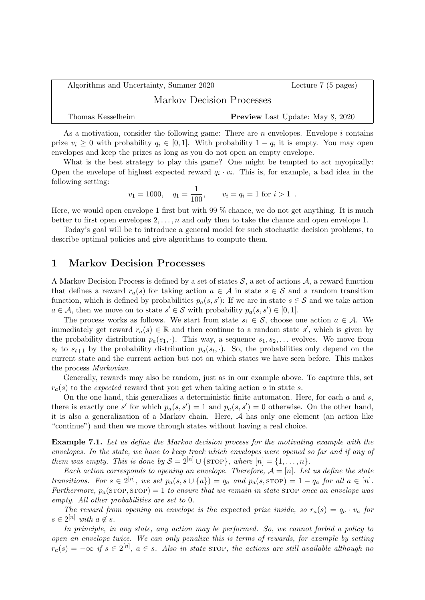| Algorithms and Uncertainty, Summer 2020 | Lecture $7(5 \text{ pages})$ |                                         |  |  |  |
|-----------------------------------------|------------------------------|-----------------------------------------|--|--|--|
| Markov Decision Processes               |                              |                                         |  |  |  |
| Thomas Kesselheim                       |                              | <b>Preview</b> Last Update: May 8, 2020 |  |  |  |

As a motivation, consider the following game: There are *n* envelopes. Envelope *i* contains prize  $v_i \geq 0$  with probability  $q_i \in [0,1]$ . With probability  $1 - q_i$  it is empty. You may open envelopes and keep the prizes as long as you do not open an empty envelope.

What is the best strategy to play this game? One might be tempted to act myopically: Open the envelope of highest expected reward  $q_i \cdot v_i$ . This is, for example, a bad idea in the following setting:

$$
v_1 = 1000
$$
,  $q_1 = \frac{1}{100}$ ,  $v_i = q_i = 1$  for  $i > 1$ .

Here, we would open envelope 1 first but with 99 % chance, we do not get anything. It is much better to first open envelopes  $2, \ldots, n$  and only then to take the chance and open envelope 1.

Today's goal will be to introduce a general model for such stochastic decision problems, to describe optimal policies and give algorithms to compute them.

## 1 Markov Decision Processes

A Markov Decision Process is defined by a set of states  $S$ , a set of actions  $A$ , a reward function that defines a reward  $r_a(s)$  for taking action  $a \in \mathcal{A}$  in state  $s \in \mathcal{S}$  and a random transition function, which is defined by probabilities  $p_a(s, s')$ : If we are in state  $s \in \mathcal{S}$  and we take action  $a \in \mathcal{A}$ , then we move on to state  $s' \in \mathcal{S}$  with probability  $p_a(s, s') \in [0, 1]$ .

The process works as follows. We start from state  $s_1 \in S$ , choose one action  $a \in A$ . We immediately get reward  $r_a(s) \in \mathbb{R}$  and then continue to a random state s', which is given by the probability distribution  $p_a(s_1, \cdot)$ . This way, a sequence  $s_1, s_2, \ldots$  evolves. We move from  $s_t$  to  $s_{t+1}$  by the probability distribution  $p_a(s_t, \cdot)$ . So, the probabilities only depend on the current state and the current action but not on which states we have seen before. This makes the process Markovian.

Generally, rewards may also be random, just as in our example above. To capture this, set  $r_a(s)$  to the expected reward that you get when taking action a in state s.

On the one hand, this generalizes a deterministic finite automaton. Here, for each  $a$  and  $s$ , there is exactly one s' for which  $p_a(s, s') = 1$  and  $p_a(s, s') = 0$  otherwise. On the other hand, it is also a generalization of a Markov chain. Here, A has only one element (an action like "continue") and then we move through states without having a real choice.

Example 7.1. Let us define the Markov decision process for the motivating example with the envelopes. In the state, we have to keep track which envelopes were opened so far and if any of them was empty. This is done by  $S = 2^{[n]} \cup \{ \text{STOP} \}$ , where  $[n] = \{1, \ldots, n\}$ .

Each action corresponds to opening an envelope. Therefore,  $A = [n]$ . Let us define the state transitions. For  $s \in 2^{[n]}$ , we set  $p_a(s, s \cup \{a\}) = q_a$  and  $p_a(s, s_{\text{TOP}}) = 1 - q_a$  for all  $a \in [n]$ . Furthermore,  $p_a(\text{STOP}, \text{STOP}) = 1$  to ensure that we remain in state STOP once an envelope was empty. All other probabilities are set to 0.

The reward from opening an envelope is the expected prize inside, so  $r_a(s) = q_a \cdot v_a$  for  $s \in 2^{[n]}$  with  $a \notin s$ .

In principle, in any state, any action may be performed. So, we cannot forbid a policy to open an envelope twice. We can only penalize this is terms of rewards, for example by setting  $r_a(s) = -\infty$  if  $s \in 2^{[n]}$ ,  $a \in s$ . Also in state stop, the actions are still available although no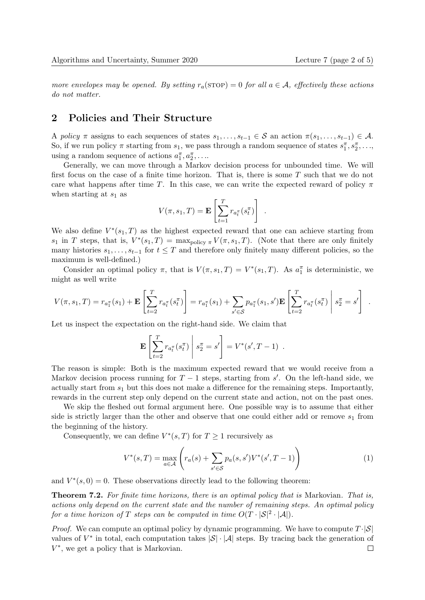more envelopes may be opened. By setting  $r_a(\text{STOP}) = 0$  for all  $a \in \mathcal{A}$ , effectively these actions do not matter.

## 2 Policies and Their Structure

A policy  $\pi$  assigns to each sequences of states  $s_1, \ldots, s_{t-1} \in \mathcal{S}$  an action  $\pi(s_1, \ldots, s_{t-1}) \in \mathcal{A}$ . So, if we run policy  $\pi$  starting from  $s_1$ , we pass through a random sequence of states  $s_1^{\pi}, s_2^{\pi}, \ldots$ , using a random sequence of actions  $a_1^{\pi}, a_2^{\pi}, \ldots$ 

Generally, we can move through a Markov decision process for unbounded time. We will first focus on the case of a finite time horizon. That is, there is some  $T$  such that we do not care what happens after time T. In this case, we can write the expected reward of policy  $\pi$ when starting at  $s_1$  as

$$
V(\pi, s_1, T) = \mathbf{E} \left[ \sum_{t=1}^T r_{a_t^{\pi}}(s_t^{\pi}) \right] .
$$

We also define  $V^*(s_1, T)$  as the highest expected reward that one can achieve starting from  $s_1$  in T steps, that is,  $V^*(s_1,T) = \max_{\text{policy }\pi} V(\pi, s_1, T)$ . (Note that there are only finitely many histories  $s_1, \ldots, s_{t-1}$  for  $t \leq T$  and therefore only finitely many different policies, so the maximum is well-defined.)

Consider an optimal policy  $\pi$ , that is  $V(\pi, s_1, T) = V^*(s_1, T)$ . As  $a_1^{\pi}$  is deterministic, we might as well write

$$
V(\pi, s_1, T) = r_{a_1^{\pi}}(s_1) + \mathbf{E} \left[ \sum_{t=2}^{T} r_{a_t^{\pi}}(s_t^{\pi}) \right] = r_{a_1^{\pi}}(s_1) + \sum_{s' \in S} p_{a_1^{\pi}}(s_1, s') \mathbf{E} \left[ \sum_{t=2}^{T} r_{a_t^{\pi}}(s_t^{\pi}) \middle| s_2^{\pi} = s' \right].
$$

Let us inspect the expectation on the right-hand side. We claim that

$$
\mathbf{E}\left[\sum_{t=2}^{T} r_{a_t^{\pi}}(s_t^{\pi})\ \middle| \ s_2^{\pi} = s'\right] = V^*(s', T - 1) \ .
$$

The reason is simple: Both is the maximum expected reward that we would receive from a Markov decision process running for  $T-1$  steps, starting from s'. On the left-hand side, we actually start from  $s_1$  but this does not make a difference for the remaining steps. Importantly, rewards in the current step only depend on the current state and action, not on the past ones.

We skip the fleshed out formal argument here. One possible way is to assume that either side is strictly larger than the other and observe that one could either add or remove  $s_1$  from the beginning of the history.

Consequently, we can define  $V^*(s,T)$  for  $T \geq 1$  recursively as

$$
V^*(s,T) = \max_{a \in \mathcal{A}} \left( r_a(s) + \sum_{s' \in \mathcal{S}} p_a(s,s') V^*(s',T-1) \right)
$$
 (1)

and  $V^*(s, 0) = 0$ . These observations directly lead to the following theorem:

Theorem 7.2. For finite time horizons, there is an optimal policy that is Markovian. That is, actions only depend on the current state and the number of remaining steps. An optimal policy for a time horizon of T steps can be computed in time  $O(T \cdot |\mathcal{S}|^2 \cdot |\mathcal{A}|)$ .

*Proof.* We can compute an optimal policy by dynamic programming. We have to compute  $T \cdot |\mathcal{S}|$ values of  $V^*$  in total, each computation takes  $|\mathcal{S}|\cdot|\mathcal{A}|$  steps. By tracing back the generation of  $V^*$ , we get a policy that is Markovian.  $\Box$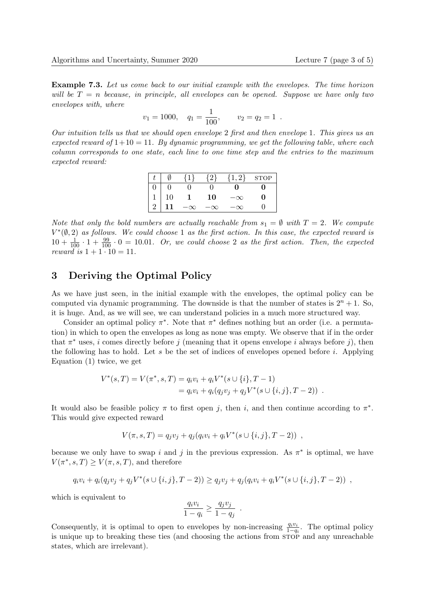Example 7.3. Let us come back to our initial example with the envelopes. The time horizon will be  $T = n$  because, in principle, all envelopes can be opened. Suppose we have only two envelopes with, where

$$
v_1 = 1000
$$
,  $q_1 = \frac{1}{100}$ ,  $v_2 = q_2 = 1$ .

Our intuition tells us that we should open envelope 2 first and then envelope 1. This gives us an expected reward of  $1+10 = 11$ . By dynamic programming, we get the following table, where each column corresponds to one state, each line to one time step and the entries to the maximum expected reward:

|               |     | $\{1\}$   | $\{2\}$ | $\{1,2\}$ | <b>STOP</b> |
|---------------|-----|-----------|---------|-----------|-------------|
|               |     |           |         | 0         |             |
|               | 10  |           | 10      |           |             |
| $\frac{1}{2}$ | -11 | $-\infty$ |         |           |             |

Note that only the bold numbers are actually reachable from  $s_1 = \emptyset$  with  $T = 2$ . We compute  $V^*(\emptyset, 2)$  as follows. We could choose 1 as the first action. In this case, the expected reward is  $10 + \frac{1}{100} \cdot 1 + \frac{99}{100} \cdot 0 = 10.01$ . Or, we could choose 2 as the first action. Then, the expected reward is  $1 + 1 \cdot 10 = 11$ .

## 3 Deriving the Optimal Policy

As we have just seen, in the initial example with the envelopes, the optimal policy can be computed via dynamic programming. The downside is that the number of states is  $2^n + 1$ . So, it is huge. And, as we will see, we can understand policies in a much more structured way.

Consider an optimal policy  $\pi^*$ . Note that  $\pi^*$  defines nothing but an order (i.e. a permutation) in which to open the envelopes as long as none was empty. We observe that if in the order that  $\pi^*$  uses, *i* comes directly before *j* (meaning that it opens envelope *i* always before *j*), then the following has to hold. Let s be the set of indices of envelopes opened before i. Applying Equation (1) twice, we get

$$
V^*(s,T) = V(\pi^*,s,T) = q_i v_i + q_i V^*(s \cup \{i\}, T - 1)
$$
  
=  $q_i v_i + q_i (q_j v_j + q_j V^*(s \cup \{i,j\}, T - 2))$ .

It would also be feasible policy  $\pi$  to first open j, then i, and then continue according to  $\pi^*$ . This would give expected reward

$$
V(\pi, s, T) = q_j v_j + q_j (q_i v_i + q_i V^*(s \cup \{i, j\}, T - 2)) ,
$$

because we only have to swap i and j in the previous expression. As  $\pi^*$  is optimal, we have  $V(\pi^*, s, T) \geq V(\pi, s, T)$ , and therefore

$$
q_i v_i + q_i (q_j v_j + q_j V^*(s \cup \{i, j\}, T - 2)) \geq q_j v_j + q_j (q_i v_i + q_i V^*(s \cup \{i, j\}, T - 2)) ,
$$

which is equivalent to

$$
\frac{q_i v_i}{1 - q_i} \ge \frac{q_j v_j}{1 - q_j}
$$

.

Consequently, it is optimal to open to envelopes by non-increasing  $\frac{q_i v_i}{1-q_i}$ . The optimal policy is unique up to breaking these ties (and choosing the actions from  $\overline{\text{STOP}}$  and any unreachable states, which are irrelevant).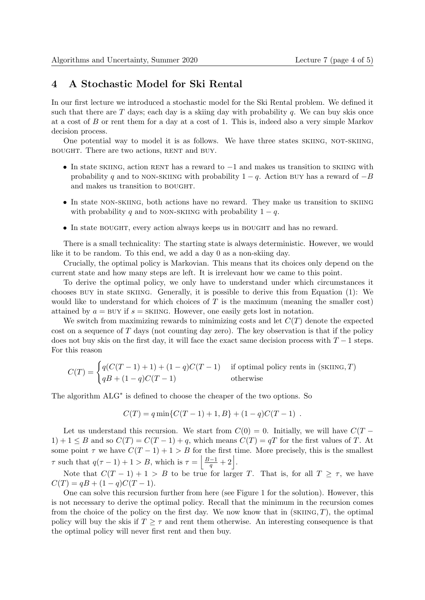## 4 A Stochastic Model for Ski Rental

In our first lecture we introduced a stochastic model for the Ski Rental problem. We defined it such that there are  $T$  days; each day is a skiing day with probability  $q$ . We can buy skis once at a cost of B or rent them for a day at a cost of 1. This is, indeed also a very simple Markov decision process.

One potential way to model it is as follows. We have three states SKIING, NOT-SKIING, bought. There are two actions, rent and buy.

- In state skiing, action RENT has a reward to  $-1$  and makes us transition to skiing with probability q and to non-skiing with probability  $1 - q$ . Action buy has a reward of  $-B$ and makes us transition to BOUGHT.
- In state non-skiing, both actions have no reward. They make us transition to skiing with probability q and to non-skiing with probability  $1 - q$ .
- In state BOUGHT, every action always keeps us in BOUGHT and has no reward.

There is a small technicality: The starting state is always deterministic. However, we would like it to be random. To this end, we add a day 0 as a non-skiing day.

Crucially, the optimal policy is Markovian. This means that its choices only depend on the current state and how many steps are left. It is irrelevant how we came to this point.

To derive the optimal policy, we only have to understand under which circumstances it chooses buy in state skiing. Generally, it is possible to derive this from Equation (1): We would like to understand for which choices of  $T$  is the maximum (meaning the smaller cost) attained by  $a = BUY$  if  $s = SKIING$ . However, one easily gets lost in notation.

We switch from maximizing rewards to minimizing costs and let  $C(T)$  denote the expected cost on a sequence of  $T$  days (not counting day zero). The key observation is that if the policy does not buy skis on the first day, it will face the exact same decision process with  $T - 1$  steps. For this reason

$$
C(T) = \begin{cases} q(C(T-1) + 1) + (1-q)C(T-1) & \text{if optimal policy rents in (SKING, T)}\\ qB + (1-q)C(T-1) & \text{otherwise} \end{cases}
$$

The algorithm ALG<sup>\*</sup> is defined to choose the cheaper of the two options. So

$$
C(T) = q \min \{ C(T-1) + 1, B \} + (1-q)C(T-1) .
$$

Let us understand this recursion. We start from  $C(0) = 0$ . Initially, we will have  $C(T 1) + 1 \leq B$  and so  $C(T) = C(T - 1) + q$ , which means  $C(T) = qT$  for the first values of T. At some point  $\tau$  we have  $C(T-1)+1 > B$  for the first time. More precisely, this is the smallest  $\tau$  such that  $q(\tau - 1) + 1 > B$ , which is  $\tau = \left| \frac{B-1}{q} + 2 \right|$ .

Note that  $C(T-1)+1 > B$  to be true for larger T. That is, for all  $T \geq \tau$ , we have  $C(T) = qB + (1 - q)C(T - 1).$ 

One can solve this recursion further from here (see Figure 1 for the solution). However, this is not necessary to derive the optimal policy. Recall that the minimum in the recursion comes from the choice of the policy on the first day. We now know that in  $(SKING, T)$ , the optimal policy will buy the skis if  $T > \tau$  and rent them otherwise. An interesting consequence is that the optimal policy will never first rent and then buy.